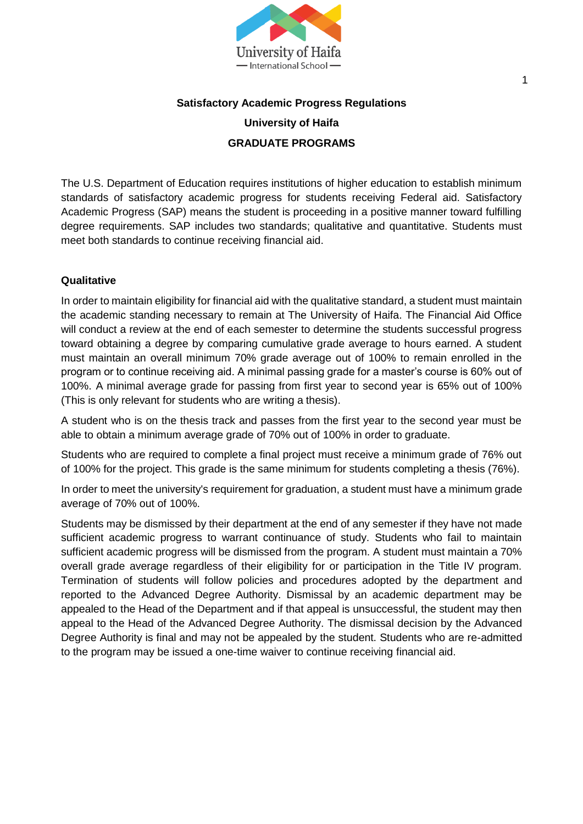

# **Satisfactory Academic Progress Regulations University of Haifa GRADUATE PROGRAMS**

The U.S. Department of Education requires institutions of higher education to establish minimum standards of satisfactory academic progress for students receiving Federal aid. Satisfactory Academic Progress (SAP) means the student is proceeding in a positive manner toward fulfilling degree requirements. SAP includes two standards; qualitative and quantitative. Students must meet both standards to continue receiving financial aid.

# **Qualitative**

In order to maintain eligibility for financial aid with the qualitative standard, a student must maintain the academic standing necessary to remain at The University of Haifa. The Financial Aid Office will conduct a review at the end of each semester to determine the students successful progress toward obtaining a degree by comparing cumulative grade average to hours earned. A student must maintain an overall minimum 70% grade average out of 100% to remain enrolled in the program or to continue receiving aid. A minimal passing grade for a master's course is 60% out of 100%. A minimal average grade for passing from first year to second year is 65% out of 100% (This is only relevant for students who are writing a thesis).

A student who is on the thesis track and passes from the first year to the second year must be able to obtain a minimum average grade of 70% out of 100% in order to graduate.

Students who are required to complete a final project must receive a minimum grade of 76% out of 100% for the project. This grade is the same minimum for students completing a thesis (76%).

In order to meet the university's requirement for graduation, a student must have a minimum grade average of 70% out of 100%.

Students may be dismissed by their department at the end of any semester if they have not made sufficient academic progress to warrant continuance of study. Students who fail to maintain sufficient academic progress will be dismissed from the program. A student must maintain a 70% overall grade average regardless of their eligibility for or participation in the Title IV program. Termination of students will follow policies and procedures adopted by the department and reported to the Advanced Degree Authority. Dismissal by an academic department may be appealed to the Head of the Department and if that appeal is unsuccessful, the student may then appeal to the Head of the Advanced Degree Authority. The dismissal decision by the Advanced Degree Authority is final and may not be appealed by the student. Students who are re-admitted to the program may be issued a one-time waiver to continue receiving financial aid.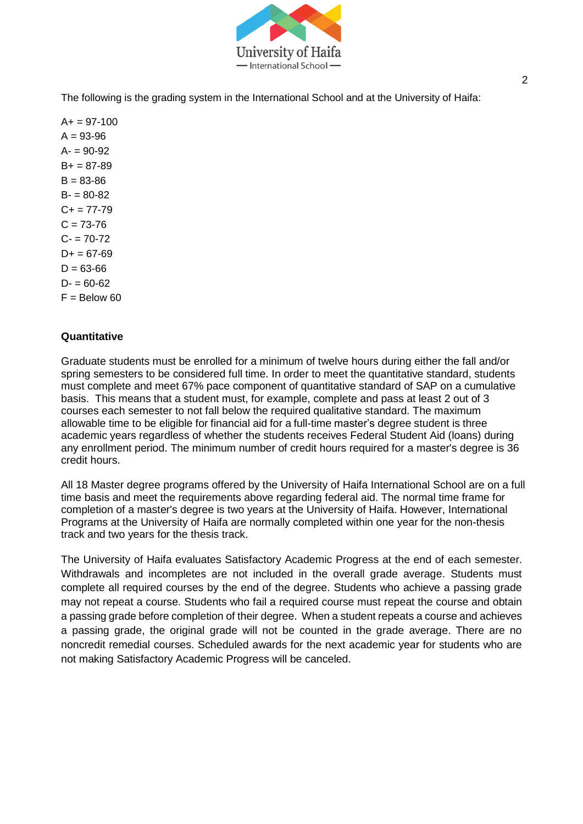

The following is the grading system in the International School and at the University of Haifa:

 $A+= 97-100$  $A = 93 - 96$  $A - 90 - 92$  $B+ = 87-89$  $B = 83 - 86$  $B - 80 - 82$  $C_{+}$  = 77-79  $C = 73 - 76$  $C - 70-72$  $D+ = 67-69$  $D = 63-66$  $D = 60-62$  $F =$  Below 60

#### **Quantitative**

Graduate students must be enrolled for a minimum of twelve hours during either the fall and/or spring semesters to be considered full time. In order to meet the quantitative standard, students must complete and meet 67% pace component of quantitative standard of SAP on a cumulative basis. This means that a student must, for example, complete and pass at least 2 out of 3 courses each semester to not fall below the required qualitative standard. The maximum allowable time to be eligible for financial aid for a full-time master's degree student is three academic years regardless of whether the students receives Federal Student Aid (loans) during any enrollment period. The minimum number of credit hours required for a master's degree is 36 credit hours.

All 18 Master degree programs offered by the University of Haifa International School are on a full time basis and meet the requirements above regarding federal aid. The normal time frame for completion of a master's degree is two years at the University of Haifa. However, International Programs at the University of Haifa are normally completed within one year for the non-thesis track and two years for the thesis track.

The University of Haifa evaluates Satisfactory Academic Progress at the end of each semester. Withdrawals and incompletes are not included in the overall grade average. Students must complete all required courses by the end of the degree. Students who achieve a passing grade may not repeat a course. Students who fail a required course must repeat the course and obtain a passing grade before completion of their degree. When a student repeats a course and achieves a passing grade, the original grade will not be counted in the grade average. There are no noncredit remedial courses. Scheduled awards for the next academic year for students who are not making Satisfactory Academic Progress will be canceled.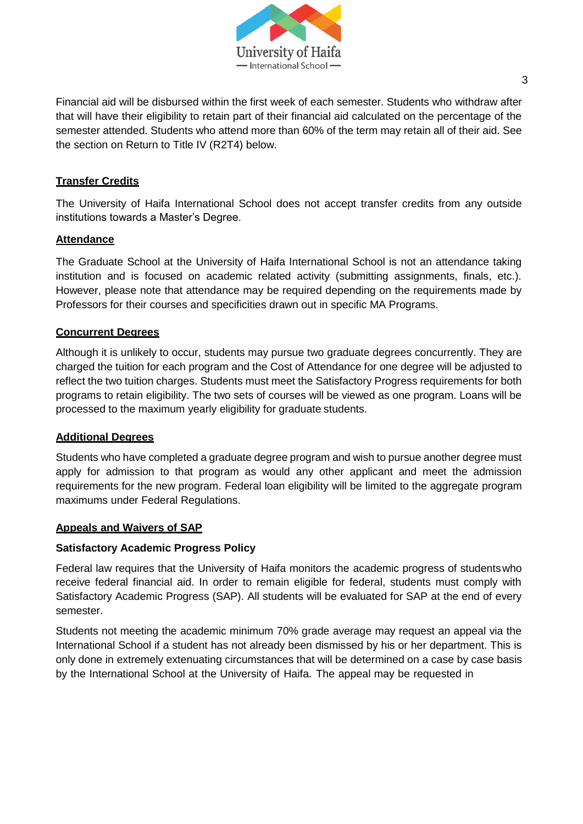

Financial aid will be disbursed within the first week of each semester. Students who withdraw after that will have their eligibility to retain part of their financial aid calculated on the percentage of the semester attended. Students who attend more than 60% of the term may retain all of their aid. See the section on Return to Title IV (R2T4) below.

# **Transfer Credits**

The University of Haifa International School does not accept transfer credits from any outside institutions towards a Master's Degree.

# **Attendance**

The Graduate School at the University of Haifa International School is not an attendance taking institution and is focused on academic related activity (submitting assignments, finals, etc.). However, please note that attendance may be required depending on the requirements made by Professors for their courses and specificities drawn out in specific MA Programs.

#### **Concurrent Degrees**

Although it is unlikely to occur, students may pursue two graduate degrees concurrently. They are charged the tuition for each program and the Cost of Attendance for one degree will be adjusted to reflect the two tuition charges. Students must meet the Satisfactory Progress requirements for both programs to retain eligibility. The two sets of courses will be viewed as one program. Loans will be processed to the maximum yearly eligibility for graduate students.

# **Additional Degrees**

Students who have completed a graduate degree program and wish to pursue another degree must apply for admission to that program as would any other applicant and meet the admission requirements for the new program. Federal loan eligibility will be limited to the aggregate program maximums under Federal Regulations.

#### **Appeals and Waivers of SAP**

# **Satisfactory Academic Progress Policy**

Federal law requires that the University of Haifa monitors the academic progress of studentswho receive federal financial aid. In order to remain eligible for federal, students must comply with Satisfactory Academic Progress (SAP). All students will be evaluated for SAP at the end of every semester.

Students not meeting the academic minimum 70% grade average may request an appeal via the International School if a student has not already been dismissed by his or her department. This is only done in extremely extenuating circumstances that will be determined on a case by case basis by the International School at the University of Haifa. The appeal may be requested in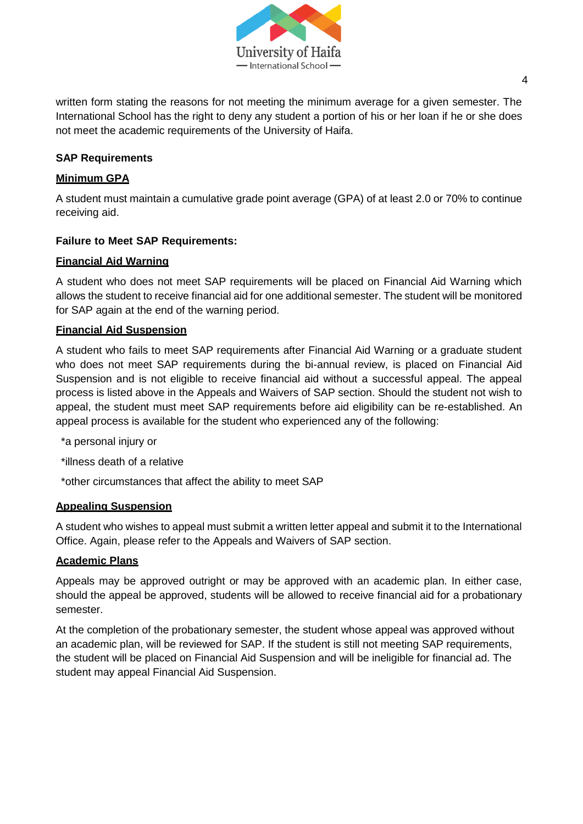

written form stating the reasons for not meeting the minimum average for a given semester. The International School has the right to deny any student a portion of his or her loan if he or she does not meet the academic requirements of the University of Haifa.

# **SAP Requirements**

# **Minimum GPA**

A student must maintain a cumulative grade point average (GPA) of at least 2.0 or 70% to continue receiving aid.

# **Failure to Meet SAP Requirements:**

# **Financial Aid Warning**

A student who does not meet SAP requirements will be placed on Financial Aid Warning which allows the student to receive financial aid for one additional semester. The student will be monitored for SAP again at the end of the warning period.

# **Financial Aid Suspension**

A student who fails to meet SAP requirements after Financial Aid Warning or a graduate student who does not meet SAP requirements during the bi-annual review, is placed on Financial Aid Suspension and is not eligible to receive financial aid without a successful appeal. The appeal process is listed above in the Appeals and Waivers of SAP section. Should the student not wish to appeal, the student must meet SAP requirements before aid eligibility can be re-established. An appeal process is available for the student who experienced any of the following:

\*a personal injury or

\*illness death of a relative

\*other circumstances that affect the ability to meet SAP

# **Appealing Suspension**

A student who wishes to appeal must submit a written letter appeal and submit it to the International Office. Again, please refer to the Appeals and Waivers of SAP section.

# **Academic Plans**

Appeals may be approved outright or may be approved with an academic plan. In either case, should the appeal be approved, students will be allowed to receive financial aid for a probationary semester.

At the completion of the probationary semester, the student whose appeal was approved without an academic plan, will be reviewed for SAP. If the student is still not meeting SAP requirements, the student will be placed on Financial Aid Suspension and will be ineligible for financial ad. The student may appeal Financial Aid Suspension.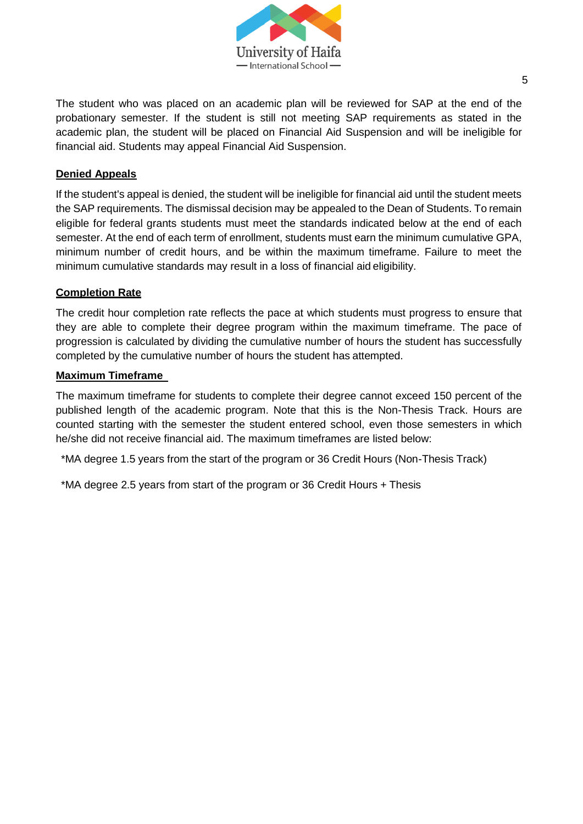

The student who was placed on an academic plan will be reviewed for SAP at the end of the probationary semester. If the student is still not meeting SAP requirements as stated in the academic plan, the student will be placed on Financial Aid Suspension and will be ineligible for financial aid. Students may appeal Financial Aid Suspension.

#### **Denied Appeals**

If the student's appeal is denied, the student will be ineligible for financial aid until the student meets the SAP requirements. The dismissal decision may be appealed to the Dean of Students. To remain eligible for federal grants students must meet the standards indicated below at the end of each semester. At the end of each term of enrollment, students must earn the minimum cumulative GPA, minimum number of credit hours, and be within the maximum timeframe. Failure to meet the minimum cumulative standards may result in a loss of financial aid eligibility.

#### **Completion Rate**

The credit hour completion rate reflects the pace at which students must progress to ensure that they are able to complete their degree program within the maximum timeframe. The pace of progression is calculated by dividing the cumulative number of hours the student has successfully completed by the cumulative number of hours the student has attempted.

#### **Maximum Timeframe**

The maximum timeframe for students to complete their degree cannot exceed 150 percent of the published length of the academic program. Note that this is the Non-Thesis Track. Hours are counted starting with the semester the student entered school, even those semesters in which he/she did not receive financial aid. The maximum timeframes are listed below:

\*MA degree 1.5 years from the start of the program or 36 Credit Hours (Non-Thesis Track)

\*MA degree 2.5 years from start of the program or 36 Credit Hours + Thesis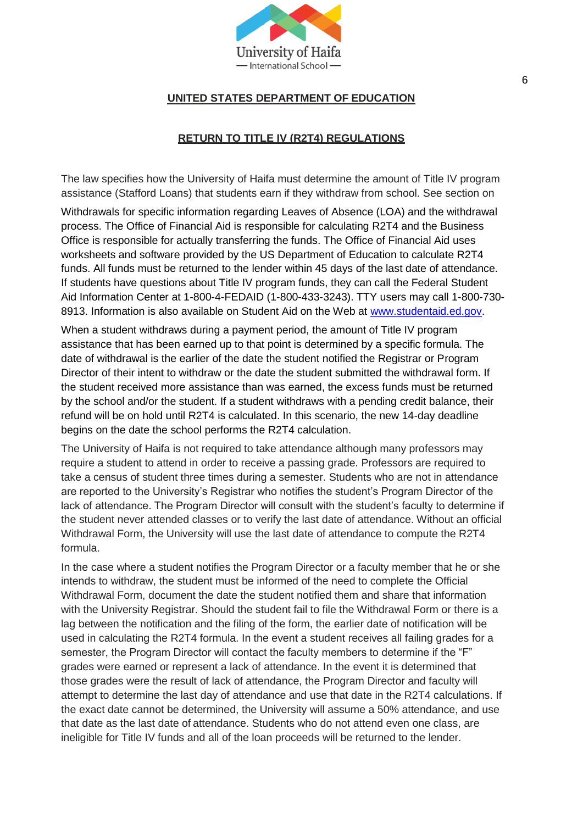

# **UNITED STATES DEPARTMENT OF EDUCATION**

# **RETURN TO TITLE IV (R2T4) REGULATIONS**

The law specifies how the University of Haifa must determine the amount of Title IV program assistance (Stafford Loans) that students earn if they withdraw from school. See section on

Withdrawals for specific information regarding Leaves of Absence (LOA) and the withdrawal process. The Office of Financial Aid is responsible for calculating R2T4 and the Business Office is responsible for actually transferring the funds. The Office of Financial Aid uses worksheets and software provided by the US Department of Education to calculate R2T4 funds. All funds must be returned to the lender within 45 days of the last date of attendance. If students have questions about Title IV program funds, they can call the Federal Student Aid Information Center at 1-800-4-FEDAID (1-800-433-3243). TTY users may call 1-800-730- 8913. Information is also available on Student Aid on the Web at [www.studentaid.ed.gov.](http://www.studentaid.ed.gov/)

When a student withdraws during a payment period, the amount of Title IV program assistance that has been earned up to that point is determined by a specific formula. The date of withdrawal is the earlier of the date the student notified the Registrar or Program Director of their intent to withdraw or the date the student submitted the withdrawal form. If the student received more assistance than was earned, the excess funds must be returned by the school and/or the student. If a student withdraws with a pending credit balance, their refund will be on hold until R2T4 is calculated. In this scenario, the new 14-day deadline begins on the date the school performs the R2T4 calculation.

The University of Haifa is not required to take attendance although many professors may require a student to attend in order to receive a passing grade. Professors are required to take a census of student three times during a semester. Students who are not in attendance are reported to the University's Registrar who notifies the student's Program Director of the lack of attendance. The Program Director will consult with the student's faculty to determine if the student never attended classes or to verify the last date of attendance. Without an official Withdrawal Form, the University will use the last date of attendance to compute the R2T4 formula.

In the case where a student notifies the Program Director or a faculty member that he or she intends to withdraw, the student must be informed of the need to complete the Official Withdrawal Form, document the date the student notified them and share that information with the University Registrar. Should the student fail to file the Withdrawal Form or there is a lag between the notification and the filing of the form, the earlier date of notification will be used in calculating the R2T4 formula. In the event a student receives all failing grades for a semester, the Program Director will contact the faculty members to determine if the "F" grades were earned or represent a lack of attendance. In the event it is determined that those grades were the result of lack of attendance, the Program Director and faculty will attempt to determine the last day of attendance and use that date in the R2T4 calculations. If the exact date cannot be determined, the University will assume a 50% attendance, and use that date as the last date of attendance. Students who do not attend even one class, are ineligible for Title IV funds and all of the loan proceeds will be returned to the lender.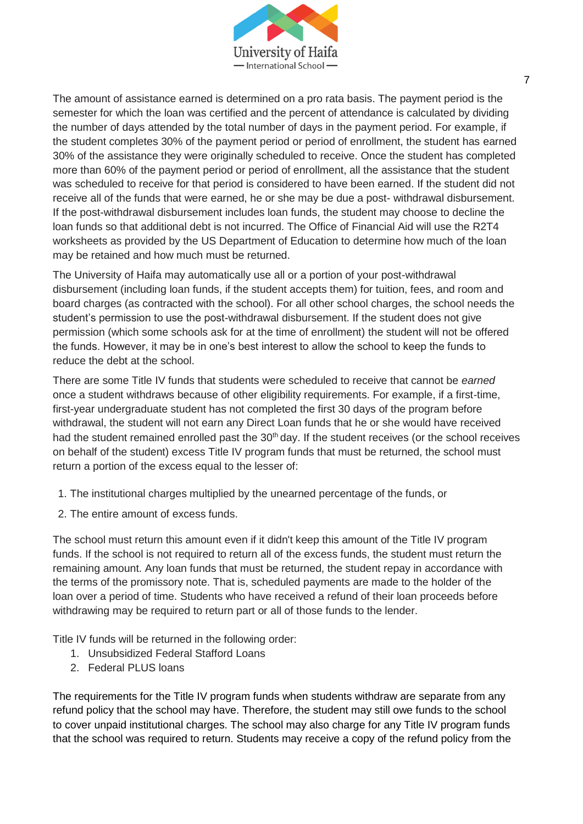

The amount of assistance earned is determined on a pro rata basis. The payment period is the semester for which the loan was certified and the percent of attendance is calculated by dividing the number of days attended by the total number of days in the payment period. For example, if the student completes 30% of the payment period or period of enrollment, the student has earned 30% of the assistance they were originally scheduled to receive. Once the student has completed more than 60% of the payment period or period of enrollment, all the assistance that the student was scheduled to receive for that period is considered to have been earned. If the student did not receive all of the funds that were earned, he or she may be due a post- withdrawal disbursement. If the post-withdrawal disbursement includes loan funds, the student may choose to decline the loan funds so that additional debt is not incurred. The Office of Financial Aid will use the R2T4 worksheets as provided by the US Department of Education to determine how much of the loan may be retained and how much must be returned.

The University of Haifa may automatically use all or a portion of your post-withdrawal disbursement (including loan funds, if the student accepts them) for tuition, fees, and room and board charges (as contracted with the school). For all other school charges, the school needs the student's permission to use the post-withdrawal disbursement. If the student does not give permission (which some schools ask for at the time of enrollment) the student will not be offered the funds. However, it may be in one's best interest to allow the school to keep the funds to reduce the debt at the school.

There are some Title IV funds that students were scheduled to receive that cannot be *earned*  once a student withdraws because of other eligibility requirements. For example, if a first-time, first-year undergraduate student has not completed the first 30 days of the program before withdrawal, the student will not earn any Direct Loan funds that he or she would have received had the student remained enrolled past the 30<sup>th</sup> day. If the student receives (or the school receives on behalf of the student) excess Title IV program funds that must be returned, the school must return a portion of the excess equal to the lesser of:

- 1. The institutional charges multiplied by the unearned percentage of the funds, or
- 2. The entire amount of excess funds.

The school must return this amount even if it didn't keep this amount of the Title IV program funds. If the school is not required to return all of the excess funds, the student must return the remaining amount. Any loan funds that must be returned, the student repay in accordance with the terms of the promissory note. That is, scheduled payments are made to the holder of the loan over a period of time. Students who have received a refund of their loan proceeds before withdrawing may be required to return part or all of those funds to the lender.

Title IV funds will be returned in the following order:

- 1. Unsubsidized Federal Stafford Loans
- 2. Federal PLUS loans

The requirements for the Title IV program funds when students withdraw are separate from any refund policy that the school may have. Therefore, the student may still owe funds to the school to cover unpaid institutional charges. The school may also charge for any Title IV program funds that the school was required to return. Students may receive a copy of the refund policy from the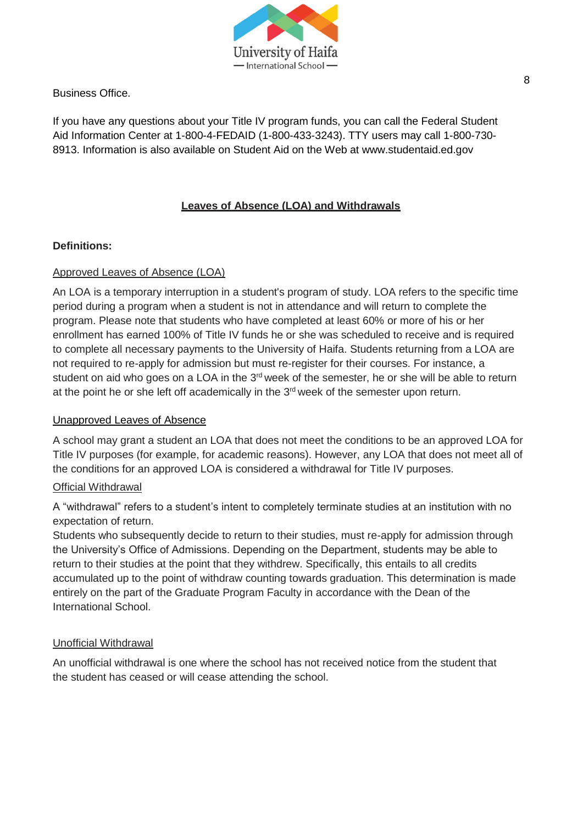

Business Office.

If you have any questions about your Title IV program funds, you can call the Federal Student Aid Information Center at 1-800-4-FEDAID (1-800-433-3243). TTY users may call 1-800-730- 8913. Information is also available on Student Aid on the Web at www.studentaid.ed.gov

# **Leaves of Absence (LOA) and Withdrawals**

# **Definitions:**

# Approved Leaves of Absence (LOA)

An LOA is a temporary interruption in a student's program of study. LOA refers to the specific time period during a program when a student is not in attendance and will return to complete the program. Please note that students who have completed at least 60% or more of his or her enrollment has earned 100% of Title IV funds he or she was scheduled to receive and is required to complete all necessary payments to the University of Haifa. Students returning from a LOA are not required to re-apply for admission but must re-register for their courses. For instance, a student on aid who goes on a LOA in the 3<sup>rd</sup> week of the semester, he or she will be able to return at the point he or she left off academically in the  $3<sup>rd</sup>$  week of the semester upon return.

# Unapproved Leaves of Absence

A school may grant a student an LOA that does not meet the conditions to be an approved LOA for Title IV purposes (for example, for academic reasons). However, any LOA that does not meet all of the conditions for an approved LOA is considered a withdrawal for Title IV purposes.

# **Official Withdrawal**

A "withdrawal" refers to a student's intent to completely terminate studies at an institution with no expectation of return.

Students who subsequently decide to return to their studies, must re-apply for admission through the University's Office of Admissions. Depending on the Department, students may be able to return to their studies at the point that they withdrew. Specifically, this entails to all credits accumulated up to the point of withdraw counting towards graduation. This determination is made entirely on the part of the Graduate Program Faculty in accordance with the Dean of the International School.

# Unofficial Withdrawal

An unofficial withdrawal is one where the school has not received notice from the student that the student has ceased or will cease attending the school.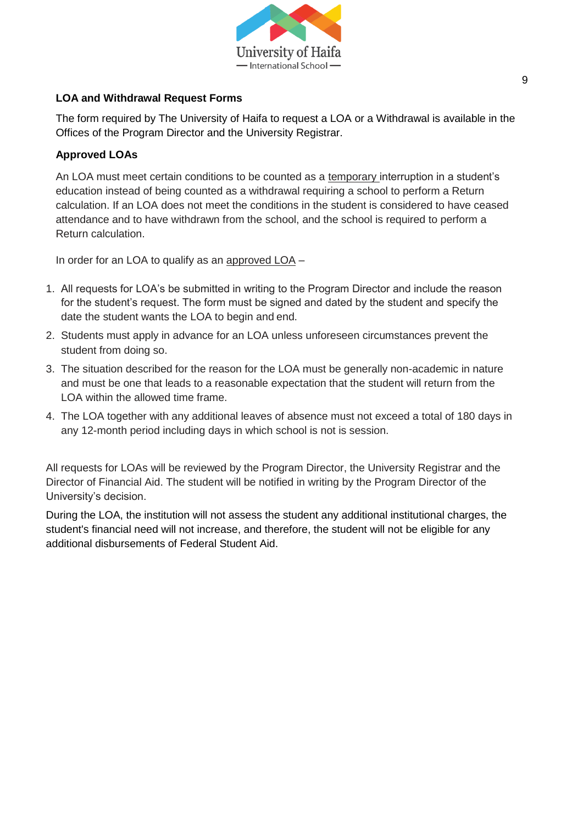

# **LOA and Withdrawal Request Forms**

The form required by The University of Haifa to request a LOA or a Withdrawal is available in the Offices of the Program Director and the University Registrar.

# **Approved LOAs**

An LOA must meet certain conditions to be counted as a temporary interruption in a student's education instead of being counted as a withdrawal requiring a school to perform a Return calculation. If an LOA does not meet the conditions in the student is considered to have ceased attendance and to have withdrawn from the school, and the school is required to perform a Return calculation.

In order for an LOA to qualify as an approved LOA –

- 1. All requests for LOA's be submitted in writing to the Program Director and include the reason for the student's request. The form must be signed and dated by the student and specify the date the student wants the LOA to begin and end.
- 2. Students must apply in advance for an LOA unless unforeseen circumstances prevent the student from doing so.
- 3. The situation described for the reason for the LOA must be generally non-academic in nature and must be one that leads to a reasonable expectation that the student will return from the LOA within the allowed time frame.
- 4. The LOA together with any additional leaves of absence must not exceed a total of 180 days in any 12-month period including days in which school is not is session.

All requests for LOAs will be reviewed by the Program Director, the University Registrar and the Director of Financial Aid. The student will be notified in writing by the Program Director of the University's decision.

During the LOA, the institution will not assess the student any additional institutional charges, the student's financial need will not increase, and therefore, the student will not be eligible for any additional disbursements of Federal Student Aid.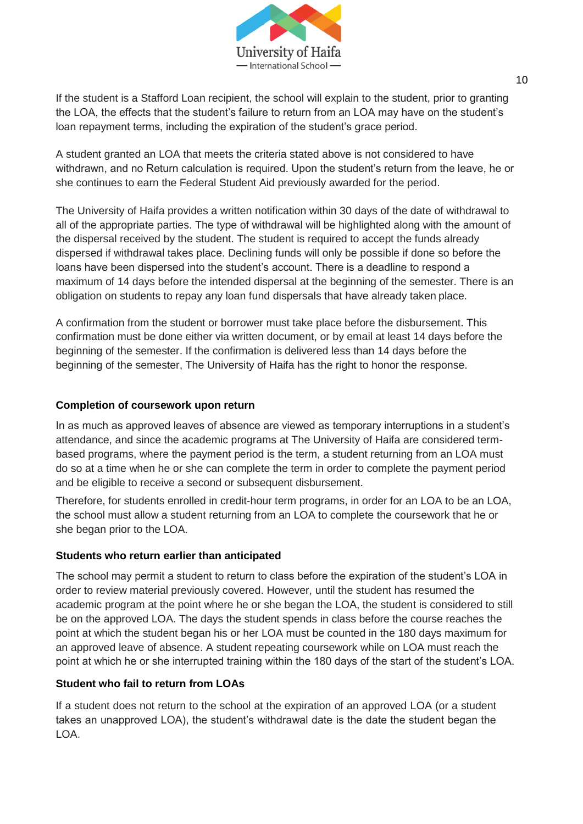

If the student is a Stafford Loan recipient, the school will explain to the student, prior to granting the LOA, the effects that the student's failure to return from an LOA may have on the student's loan repayment terms, including the expiration of the student's grace period.

A student granted an LOA that meets the criteria stated above is not considered to have withdrawn, and no Return calculation is required. Upon the student's return from the leave, he or she continues to earn the Federal Student Aid previously awarded for the period.

The University of Haifa provides a written notification within 30 days of the date of withdrawal to all of the appropriate parties. The type of withdrawal will be highlighted along with the amount of the dispersal received by the student. The student is required to accept the funds already dispersed if withdrawal takes place. Declining funds will only be possible if done so before the loans have been dispersed into the student's account. There is a deadline to respond a maximum of 14 days before the intended dispersal at the beginning of the semester. There is an obligation on students to repay any loan fund dispersals that have already taken place.

A confirmation from the student or borrower must take place before the disbursement. This confirmation must be done either via written document, or by email at least 14 days before the beginning of the semester. If the confirmation is delivered less than 14 days before the beginning of the semester, The University of Haifa has the right to honor the response.

# **Completion of coursework upon return**

In as much as approved leaves of absence are viewed as temporary interruptions in a student's attendance, and since the academic programs at The University of Haifa are considered termbased programs, where the payment period is the term, a student returning from an LOA must do so at a time when he or she can complete the term in order to complete the payment period and be eligible to receive a second or subsequent disbursement.

Therefore, for students enrolled in credit-hour term programs, in order for an LOA to be an LOA, the school must allow a student returning from an LOA to complete the coursework that he or she began prior to the LOA.

# **Students who return earlier than anticipated**

The school may permit a student to return to class before the expiration of the student's LOA in order to review material previously covered. However, until the student has resumed the academic program at the point where he or she began the LOA, the student is considered to still be on the approved LOA. The days the student spends in class before the course reaches the point at which the student began his or her LOA must be counted in the 180 days maximum for an approved leave of absence. A student repeating coursework while on LOA must reach the point at which he or she interrupted training within the 180 days of the start of the student's LOA.

# **Student who fail to return from LOAs**

If a student does not return to the school at the expiration of an approved LOA (or a student takes an unapproved LOA), the student's withdrawal date is the date the student began the LOA.